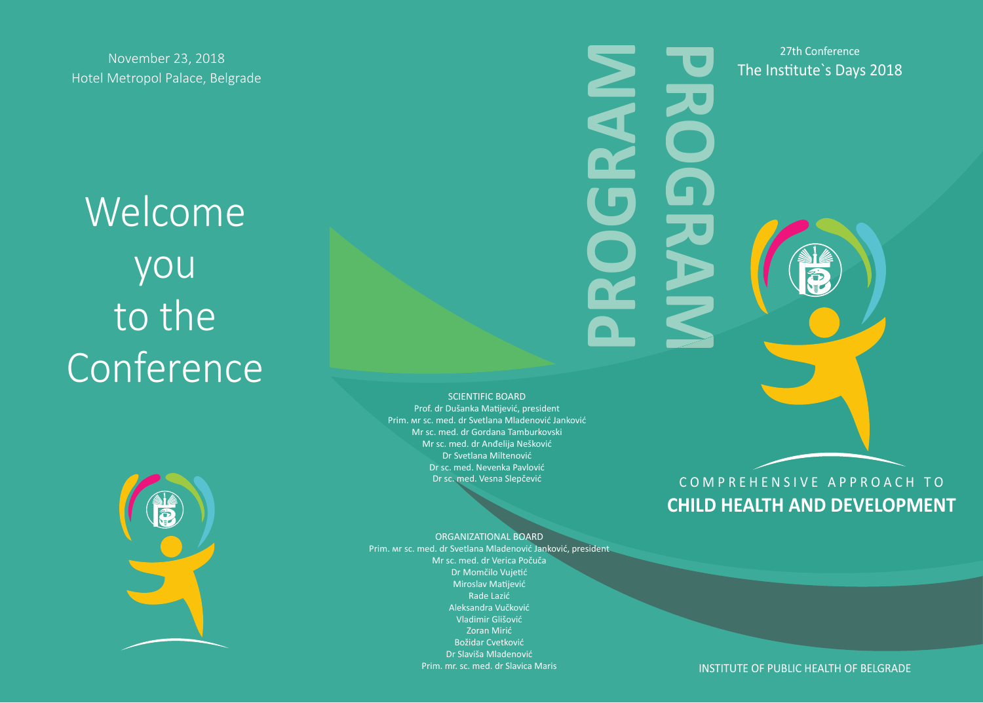Welcome you to the **Conference** 



SCIENTIFIC BOARD

Prof. dr Dušanka MaƟjević, president Prim. мr sc. med. dr Svetlana Mladenović Janković Mr sc. med. dr Gordana Tamburkovski Mr sc. med. dr Anđelija Nešković Dr Svetlana Miltenović Dr sc. med. Nevenka Pavlović Dr sc. med. Vesna Slepčević



ORGANIZATIONAL BOARD Prim. мr sc. med. dr Svetlana Mladenović Janković, president Mr sc. med. dr Verica Počuča Dr Momčilo Vujetić Miroslav MaƟjević Rade Lazić Aleksandra Vučković Vladimir Glišović Zoran Mirić Božidar Cvetković Dr Slaviša Mladenović Prim. mr. sc. med. dr Slavica Maris

# COMPREHENSIVE APPROACH TO **CHILD HEALTH AND DEVELOPMENT**

27th Conference

INSTITUTE OF PUBLIC HEALTH OF BELGRADE